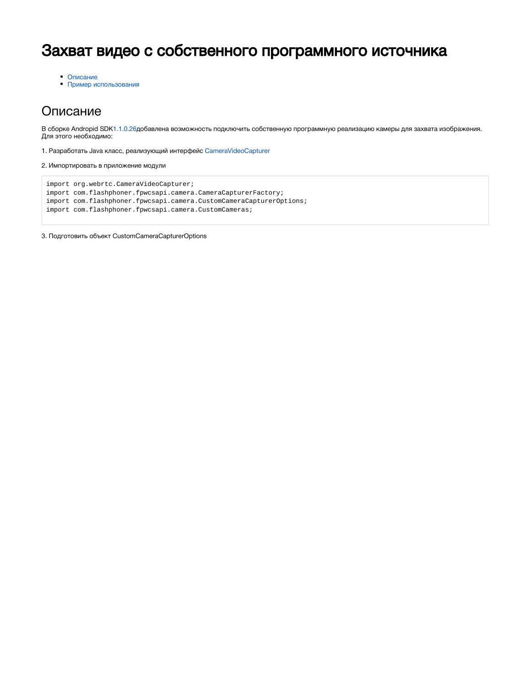# Захват видео с собственного программного источника

[Описание](#page-0-0)

[Пример использования](#page-1-0)

## <span id="page-0-0"></span>Описание

В сборке Andropid SD[K1.1.0.26д](https://flashphoner.com/downloads/builds/flashphoner_client/wcs-android-sdk/1.1/wcs-android-sdk-1.1.0.26-62910ecf5641184b59c1da84165d906063eb6534.tar.gz)обавлена возможность подключить собственную программную реализацию камеры для захвата изображения. Для этого необходимо:

1. Разработать Java класс, реализующий интерфейс [CameraVideoCapturer](https://chromium.googlesource.com/external/webrtc/+/a8eab866a16dd1177c0c2a5118ec597eacdb225f/webrtc/api/java/android/org/webrtc/CameraVideoCapturer.java)

2. Импортировать в приложение модули

```
import org.webrtc.CameraVideoCapturer;
import com.flashphoner.fpwcsapi.camera.CameraCapturerFactory;
import com.flashphoner.fpwcsapi.camera.CustomCameraCapturerOptions;
import com.flashphoner.fpwcsapi.camera.CustomCameras;
```
3. Подготовить объект CustomCameraCapturerOptions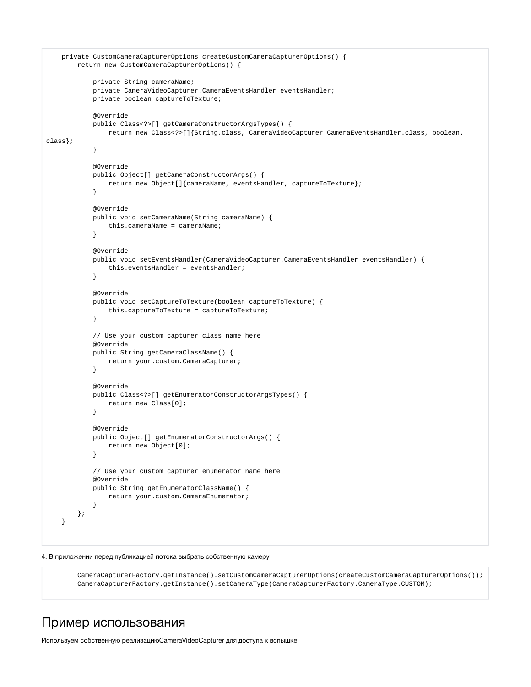```
 private CustomCameraCapturerOptions createCustomCameraCapturerOptions() {
        return new CustomCameraCapturerOptions() {
            private String cameraName;
            private CameraVideoCapturer.CameraEventsHandler eventsHandler;
            private boolean captureToTexture;
            @Override
            public Class<?>[] getCameraConstructorArgsTypes() {
                return new Class<?>[]{String.class, CameraVideoCapturer.CameraEventsHandler.class, boolean.
class};
 }
            @Override
            public Object[] getCameraConstructorArgs() {
                return new Object[]{cameraName, eventsHandler, captureToTexture};
 }
            @Override
            public void setCameraName(String cameraName) {
                this.cameraName = cameraName;
 }
            @Override
            public void setEventsHandler(CameraVideoCapturer.CameraEventsHandler eventsHandler) {
                this.eventsHandler = eventsHandler;
 }
            @Override
            public void setCaptureToTexture(boolean captureToTexture) {
                this.captureToTexture = captureToTexture;
 }
            // Use your custom capturer class name here
            @Override
            public String getCameraClassName() {
                return your.custom.CameraCapturer;
 }
            @Override
            public Class<?>[] getEnumeratorConstructorArgsTypes() {
                return new Class[0];
 }
            @Override
            public Object[] getEnumeratorConstructorArgs() {
                return new Object[0];
 }
            // Use your custom capturer enumerator name here
            @Override
            public String getEnumeratorClassName() {
                return your.custom.CameraEnumerator;
 }
        };
    }
```
4. В приложении перед публикацией потока выбрать собственную камеру

 CameraCapturerFactory.getInstance().setCustomCameraCapturerOptions(createCustomCameraCapturerOptions()); CameraCapturerFactory.getInstance().setCameraType(CameraCapturerFactory.CameraType.CUSTOM);

### <span id="page-1-0"></span>Пример использования

Используем собственную реализациюCameraVideoCapturer для доступа к вспышке.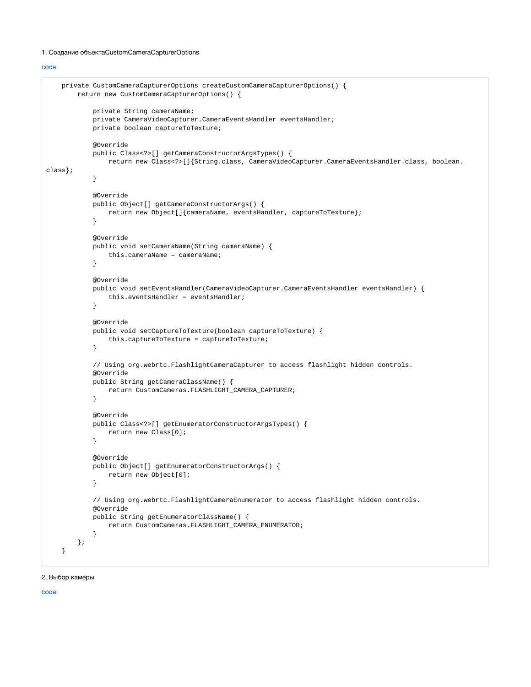#### 1. Создание объектаCustomCameraCapturerOptions

[code](https://github.com/flashphoner/wcs-android-sdk-samples/blob/8ccc8712ba25da6c5f34c425890ae8633e34aa8f/media-devices/src/main/java/com/flashphoner/wcsexample/mediadevices/MediaDevicesActivity.java#L767)

```
 private CustomCameraCapturerOptions createCustomCameraCapturerOptions() {
        return new CustomCameraCapturerOptions() {
            private String cameraName;
            private CameraVideoCapturer.CameraEventsHandler eventsHandler;
            private boolean captureToTexture;
            @Override
            public Class<?>[] getCameraConstructorArgsTypes() {
                return new Class<?>[]{String.class, CameraVideoCapturer.CameraEventsHandler.class, boolean.
class};
 }
            @Override
            public Object[] getCameraConstructorArgs() {
                return new Object[]{cameraName, eventsHandler, captureToTexture};
 }
            @Override
            public void setCameraName(String cameraName) {
                this.cameraName = cameraName;
 }
            @Override
            public void setEventsHandler(CameraVideoCapturer.CameraEventsHandler eventsHandler) {
                this.eventsHandler = eventsHandler;
 }
            @Override
            public void setCaptureToTexture(boolean captureToTexture) {
                this.captureToTexture = captureToTexture;
 }
            // Using org.webrtc.FlashlightCameraCapturer to access flashlight hidden controls.
            @Override
            public String getCameraClassName() {
                return CustomCameras.FLASHLIGHT_CAMERA_CAPTURER;
 }
            @Override
            public Class<?>[] getEnumeratorConstructorArgsTypes() {
                return new Class[0];
 }
            @Override
            public Object[] getEnumeratorConstructorArgs() {
                return new Object[0];
 }
            // Using org.webrtc.FlashlightCameraEnumerator to access flashlight hidden controls.
            @Override
            public String getEnumeratorClassName() {
                return CustomCameras.FLASHLIGHT_CAMERA_ENUMERATOR;
 }
        };
    }
```
#### 2. Выбор камеры

[code](https://github.com/flashphoner/wcs-android-sdk-samples/blob/8ccc8712ba25da6c5f34c425890ae8633e34aa8f/media-devices/src/main/java/com/flashphoner/wcsexample/mediadevices/MediaDevicesActivity.java#L684)